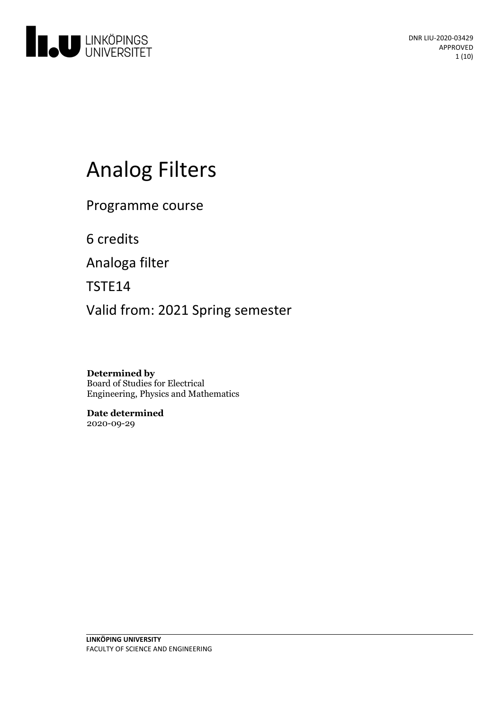

# **Analog Filters**

Programme course

6 credits

Analoga filter

TSTE14

Valid from: 2021 Spring semester

**Determined by** Board of Studies for Electrical Engineering, Physics and Mathematics

**Date determined** 2020-09-29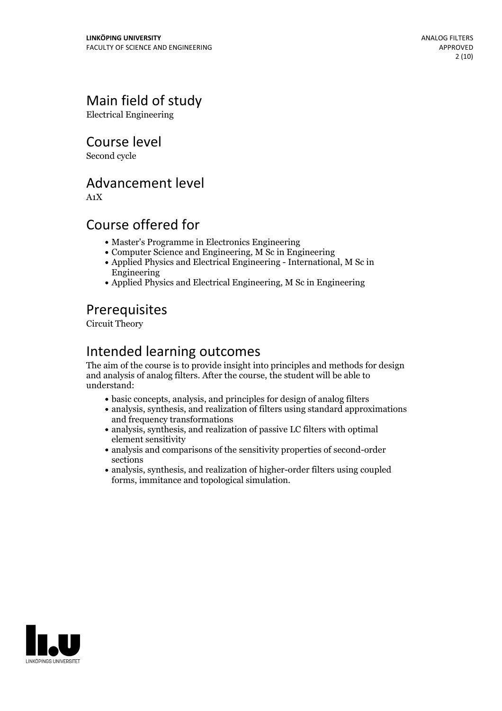# Main field of study

Electrical Engineering

### Course level

Second cycle

### Advancement level

A1X

# Course offered for

- Master's Programme in Electronics Engineering
- Computer Science and Engineering, M Sc in Engineering
- Applied Physics and Electrical Engineering International, M Sc in Engineering
- Applied Physics and Electrical Engineering, M Sc in Engineering

# **Prerequisites**

Circuit Theory

# Intended learning outcomes

The aim of the course is to provide insight into principles and methods for design and analysis of analog filters. After the course, the student will be able to understand:

- basic concepts, analysis, and principles for design of analog filters
- analysis, synthesis, and realization of filters using standard approximations and frequency transformations
- analysis, synthesis, and realization of passive LC filters with optimal element sensitivity
- analysis and comparisons of the sensitivity properties of second-order sections
- analysis, synthesis, and realization of higher-order filters using coupled forms, immitance and topological simulation.

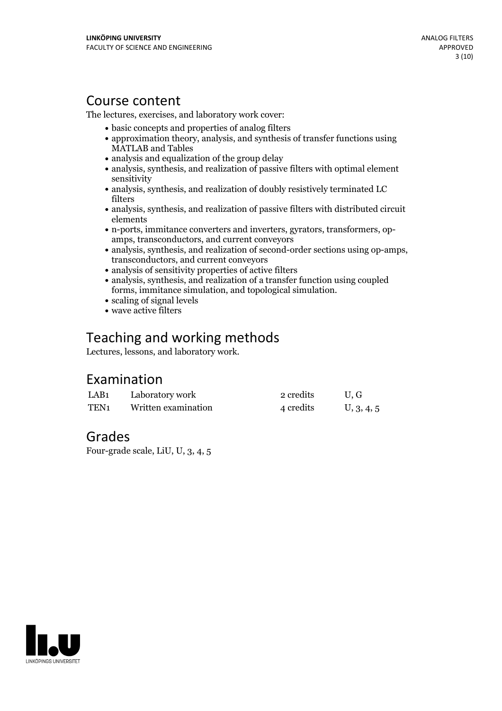### Course content

The lectures, exercises, and laboratory work cover:

- basic concepts and properties of analog filters
- approximation theory, analysis, and synthesis of transfer functions using MATLAB and Tables
- analysis and equalization of the group delay
- analysis, synthesis, and realization of passive filters with optimal element sensitivity
- analysis, synthesis, and realization of doubly resistively terminated LC filters
- analysis, synthesis, and realization of passive filters with distributed circuit elements
- n-ports, immitance converters and inverters, gyrators, transformers, op- amps, transconductors, and current conveyors
- analysis, synthesis, and realization of second-order sections using op-amps, transconductors, and current conveyors
- analysis of sensitivity properties of active filters
- analysis, synthesis, and realization of a transfer function using coupled forms, immitance simulation, and topological simulation.<br>• scaling of signal levels
- 
- wave active filters

# Teaching and working methods

Lectures, lessons, and laboratory work.

# Examination

| LAB1 | Laboratory work     | 2 credits | U.G        |
|------|---------------------|-----------|------------|
| TEN1 | Written examination | 4 credits | U, 3, 4, 5 |

# Grades

Four-grade scale, LiU, U, 3, 4, 5

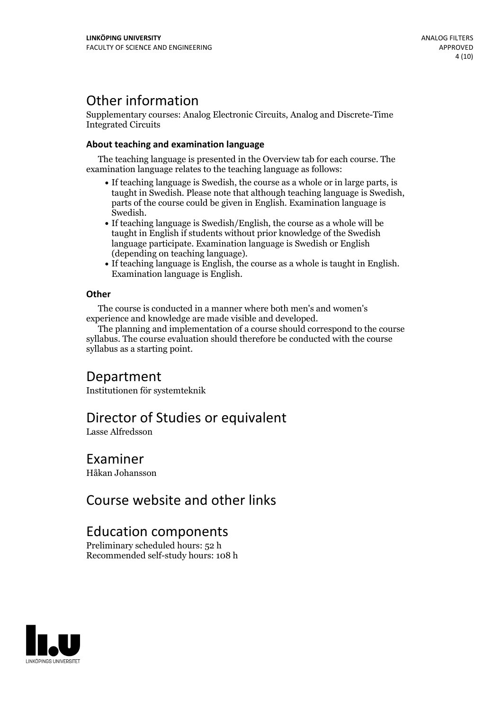# Other information

Supplementary courses: Analog Electronic Circuits, Analog and Discrete-Time Integrated Circuits

#### **About teaching and examination language**

The teaching language is presented in the Overview tab for each course. The examination language relates to the teaching language as follows:

- If teaching language is Swedish, the course as a whole or in large parts, is taught in Swedish. Please note that although teaching language is Swedish, parts of the course could be given in English. Examination language is Swedish.<br>• If teaching language is Swedish/English, the course as a whole will be
- taught in English if students without prior knowledge of the Swedish language participate. Examination language is Swedish or English
- $\bullet$  If teaching language is English, the course as a whole is taught in English. Examination language is English.

#### **Other**

The course is conducted in a manner where both men's and women's

The planning and implementation of a course should correspond to the course syllabus. The course evaluation should therefore be conducted with the course syllabus as a starting point.

# Department

Institutionen för systemteknik

### Director of Studies or equivalent

Lasse Alfredsson

### Examiner

Håkan Johansson

# Course website and other links

### Education components

Preliminary scheduled hours: 52 h Recommended self-study hours: 108 h

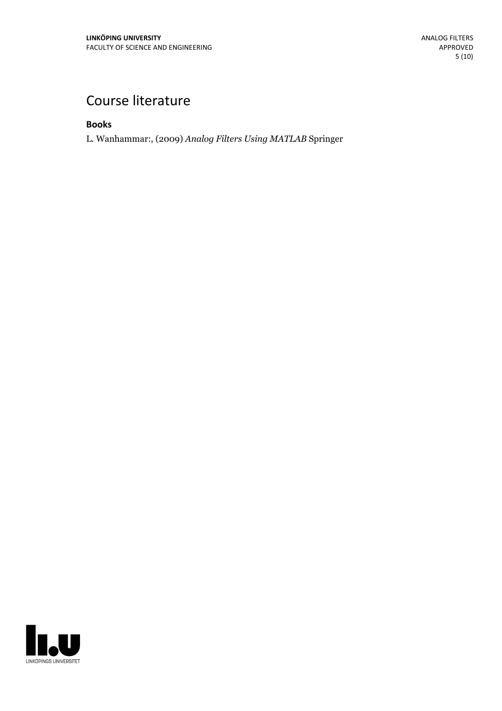# Course literature

**Books**

L. Wanhammar:, (2009) *Analog Filters Using MATLAB* Springer

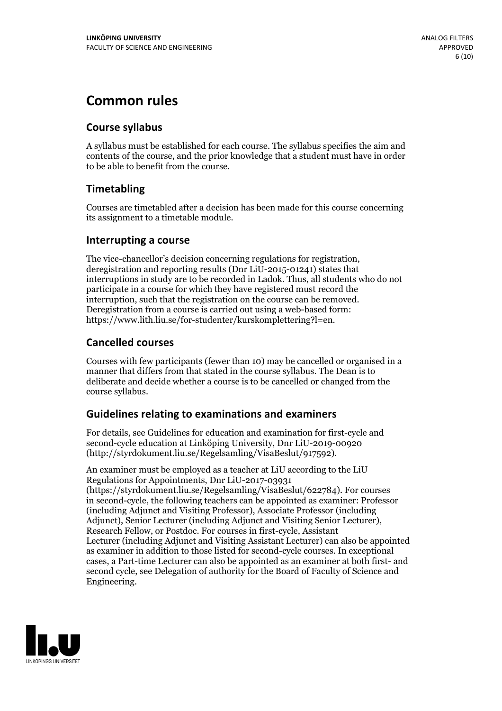# **Common rules**

#### **Course syllabus**

A syllabus must be established for each course. The syllabus specifies the aim and contents of the course, and the prior knowledge that a student must have in order to be able to benefit from the course.

### **Timetabling**

Courses are timetabled after a decision has been made for this course concerning its assignment to a timetable module.

#### **Interrupting a course**

The vice-chancellor's decision concerning regulations for registration, deregistration and reporting results (Dnr LiU-2015-01241) states that interruptions in study are to be recorded in Ladok. Thus, all students who do not participate in a course for which they have registered must record the interruption, such that the registration on the course can be removed. Deregistration from <sup>a</sup> course is carried outusing <sup>a</sup> web-based form: https://www.lith.liu.se/for-studenter/kurskomplettering?l=en.

### **Cancelled courses**

Courses with few participants (fewer than 10) may be cancelled or organised in a manner that differs from that stated in the course syllabus. The Dean is to deliberate and decide whether a course is to be cancelled or changed from the course syllabus.

### **Guidelines relatingto examinations and examiners**

For details, see Guidelines for education and examination for first-cycle and second-cycle education at Linköping University, Dnr LiU-2019-00920 (http://styrdokument.liu.se/Regelsamling/VisaBeslut/917592).

An examiner must be employed as a teacher at LiU according to the LiU Regulations for Appointments, Dnr LiU-2017-03931 (https://styrdokument.liu.se/Regelsamling/VisaBeslut/622784). For courses in second-cycle, the following teachers can be appointed as examiner: Professor (including Adjunct and Visiting Professor), Associate Professor (including Adjunct), Senior Lecturer (including Adjunct and Visiting Senior Lecturer), Research Fellow, or Postdoc. For courses in first-cycle, Assistant Lecturer (including Adjunct and Visiting Assistant Lecturer) can also be appointed as examiner in addition to those listed for second-cycle courses. In exceptional cases, a Part-time Lecturer can also be appointed as an examiner at both first- and second cycle, see Delegation of authority for the Board of Faculty of Science and Engineering.

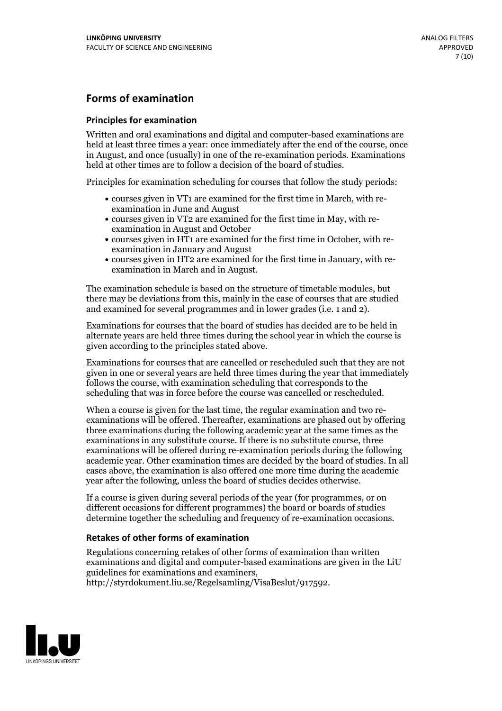#### **Forms of examination**

#### **Principles for examination**

Written and oral examinations and digital and computer-based examinations are held at least three times a year: once immediately after the end of the course, once in August, and once (usually) in one of the re-examination periods. Examinations held at other times are to follow a decision of the board of studies.

Principles for examination scheduling for courses that follow the study periods:

- courses given in VT1 are examined for the first time in March, with re-examination in June and August
- courses given in VT2 are examined for the first time in May, with re-examination in August and October
- courses given in HT1 are examined for the first time in October, with re-examination in January and August
- courses given in HT2 are examined for the first time in January, with re-examination in March and in August.

The examination schedule is based on the structure of timetable modules, but there may be deviations from this, mainly in the case of courses that are studied and examined for several programmes and in lower grades (i.e. 1 and 2).

Examinations for courses that the board of studies has decided are to be held in alternate years are held three times during the school year in which the course is given according to the principles stated above.

Examinations for courses that are cancelled orrescheduled such that they are not given in one or several years are held three times during the year that immediately follows the course, with examination scheduling that corresponds to the scheduling that was in force before the course was cancelled or rescheduled.

When a course is given for the last time, the regular examination and two re-<br>examinations will be offered. Thereafter, examinations are phased out by offering three examinations during the following academic year at the same times as the examinations in any substitute course. If there is no substitute course, three examinations will be offered during re-examination periods during the following academic year. Other examination times are decided by the board of studies. In all cases above, the examination is also offered one more time during the academic year after the following, unless the board of studies decides otherwise.

If a course is given during several periods of the year (for programmes, or on different occasions for different programmes) the board or boards of studies determine together the scheduling and frequency of re-examination occasions.

#### **Retakes of other forms of examination**

Regulations concerning retakes of other forms of examination than written examinations and digital and computer-based examinations are given in the LiU guidelines for examinations and examiners, http://styrdokument.liu.se/Regelsamling/VisaBeslut/917592.

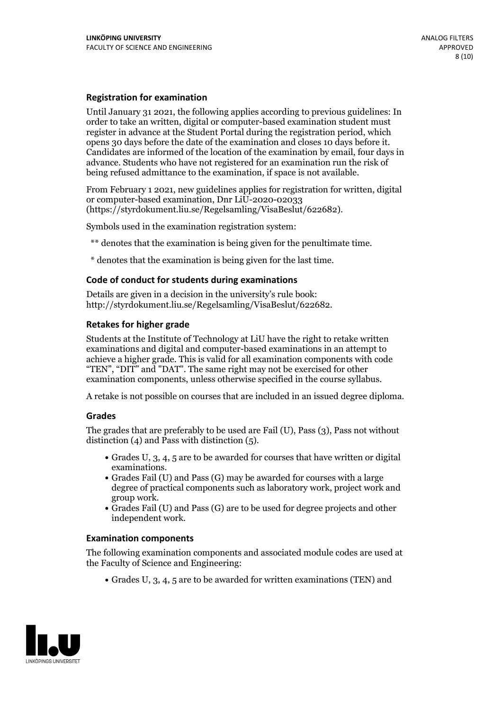#### **Registration for examination**

Until January 31 2021, the following applies according to previous guidelines: In order to take an written, digital or computer-based examination student must register in advance at the Student Portal during the registration period, which Candidates are informed of the location of the examination by email, four days in advance. Students who have not registered for an examination run the risk of being refused admittance to the examination, if space is not available.

From February 1 2021, new guidelines applies for registration for written, digital or computer-based examination, Dnr LiU-2020-02033 (https://styrdokument.liu.se/Regelsamling/VisaBeslut/622682).

Symbols used in the examination registration system:

\*\* denotes that the examination is being given for the penultimate time.

\* denotes that the examination is being given for the last time.

#### **Code of conduct for students during examinations**

Details are given in a decision in the university's rule book: http://styrdokument.liu.se/Regelsamling/VisaBeslut/622682.

#### **Retakes for higher grade**

Students at the Institute of Technology at LiU have the right to retake written examinations and digital and computer-based examinations in an attempt to achieve a higher grade. This is valid for all examination components with code "TEN", "DIT" and "DAT". The same right may not be exercised for other examination components, unless otherwise specified in the course syllabus.

A retake is not possible on courses that are included in an issued degree diploma.

#### **Grades**

The grades that are preferably to be used are Fail (U), Pass (3), Pass not without distinction  $(4)$  and Pass with distinction  $(5)$ .

- Grades U, 3, 4, 5 are to be awarded for courses that have written or digital
- examinations.<br>• Grades Fail (U) and Pass (G) may be awarded for courses with a large degree of practical components such as laboratory work, project work and
- Grades Fail (U) and Pass (G) are to be used for degree projects and other independent work.

#### **Examination components**

The following examination components and associated module codes are used at the Faculty of Science and Engineering:

Grades U, 3, 4, 5 are to be awarded for written examinations (TEN) and

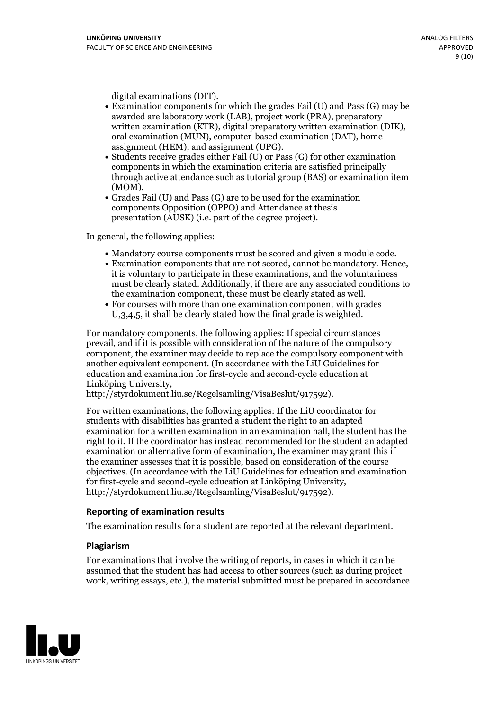- digital examinations (DIT).<br>• Examination components for which the grades Fail (U) and Pass (G) may be awarded are laboratory work (LAB), project work (PRA), preparatory written examination (KTR), digital preparatory written examination (DIK), oral examination (MUN), computer-based examination (DAT), home
- assignment (HEM), and assignment (UPG).<br>• Students receive grades either Fail (U) or Pass (G) for other examination components in which the examination criteria are satisfied principally through active attendance such as tutorial group (BAS) or examination item
- (MOM).<br>• Grades Fail (U) and Pass (G) are to be used for the examination components Opposition (OPPO) and Attendance at thesis presentation (AUSK) (i.e. part of the degree project).

In general, the following applies:

- 
- Mandatory course components must be scored and given <sup>a</sup> module code. Examination components that are not scored, cannot be mandatory. Hence, it is voluntary to participate in these examinations, and the voluntariness must be clearly stated. Additionally, if there are any associated conditions to the examination component, these must be clearly stated as well.<br>• For courses with more than one examination component with grades
- U,3,4,5, it shall be clearly stated how the final grade is weighted.

For mandatory components, the following applies: If special circumstances prevail, and if it is possible with consideration of the nature ofthe compulsory component, the examiner may decide to replace the compulsory component with another equivalent component. (In accordance with the LiU Guidelines for education and examination for first-cycle and second-cycle education at Linköping University, http://styrdokument.liu.se/Regelsamling/VisaBeslut/917592).

For written examinations, the following applies: If the LiU coordinator for students with disabilities has granted a student the right to an adapted examination for a written examination in an examination hall, the student has the right to it. If the coordinator has instead recommended for the student an adapted examination or alternative form of examination, the examiner may grant this if the examiner assesses that it is possible, based on consideration of the course objectives. (In accordance with the LiU Guidelines for education and examination for first-cycle and second-cycle education at Linköping University, http://styrdokument.liu.se/Regelsamling/VisaBeslut/917592).

#### **Reporting of examination results**

The examination results for a student are reported at the relevant department.

#### **Plagiarism**

For examinations that involve the writing of reports, in cases in which it can be assumed that the student has had access to other sources (such as during project work, writing essays, etc.), the material submitted must be prepared in accordance